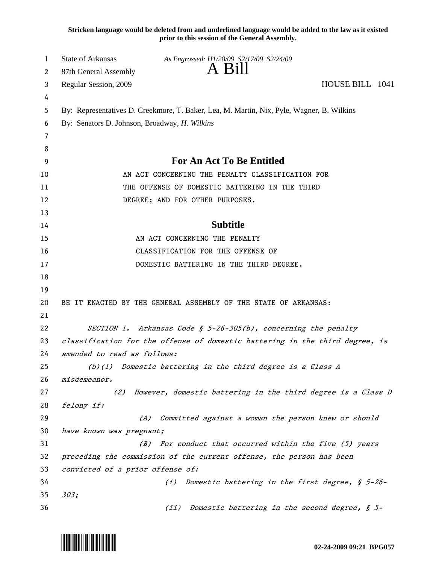**Stricken language would be deleted from and underlined language would be added to the law as it existed prior to this session of the General Assembly.**

| 1  | <b>State of Arkansas</b><br>As Engrossed: H1/28/09 S2/17/09 S2/24/09                      |  |
|----|-------------------------------------------------------------------------------------------|--|
| 2  | A Bill<br>87th General Assembly                                                           |  |
| 3  | HOUSE BILL 1041<br>Regular Session, 2009                                                  |  |
| 4  |                                                                                           |  |
| 5  | By: Representatives D. Creekmore, T. Baker, Lea, M. Martin, Nix, Pyle, Wagner, B. Wilkins |  |
| 6  | By: Senators D. Johnson, Broadway, H. Wilkins                                             |  |
| 7  |                                                                                           |  |
| 8  |                                                                                           |  |
| 9  | <b>For An Act To Be Entitled</b>                                                          |  |
| 10 | AN ACT CONCERNING THE PENALTY CLASSIFICATION FOR                                          |  |
| 11 | THE OFFENSE OF DOMESTIC BATTERING IN THE THIRD                                            |  |
| 12 | DEGREE; AND FOR OTHER PURPOSES.                                                           |  |
| 13 |                                                                                           |  |
| 14 | <b>Subtitle</b>                                                                           |  |
| 15 | AN ACT CONCERNING THE PENALTY                                                             |  |
| 16 | CLASSIFICATION FOR THE OFFENSE OF                                                         |  |
| 17 | DOMESTIC BATTERING IN THE THIRD DEGREE.                                                   |  |
| 18 |                                                                                           |  |
| 19 |                                                                                           |  |
| 20 | BE IT ENACTED BY THE GENERAL ASSEMBLY OF THE STATE OF ARKANSAS:                           |  |
| 21 |                                                                                           |  |
| 22 | SECTION 1. Arkansas Code § 5-26-305(b), concerning the penalty                            |  |
| 23 | classification for the offense of domestic battering in the third degree, is              |  |
| 24 | amended to read as follows:                                                               |  |
| 25 | (b)(1) Domestic battering in the third degree is a Class A                                |  |
| 26 | misdemeanor.                                                                              |  |
| 27 | However, domestic battering in the third degree is a Class D<br>(2)                       |  |
| 28 | felony if:                                                                                |  |
| 29 | Committed against a woman the person knew or should<br>(A)                                |  |
| 30 | have known was pregnant;                                                                  |  |
| 31 | For conduct that occurred within the five (5) years<br>(B)                                |  |
| 32 | preceding the commission of the current offense, the person has been                      |  |
| 33 | convicted of a prior offense of:                                                          |  |
| 34 | Domestic battering in the first degree, § 5-26-<br>(i)                                    |  |
| 35 | 303;                                                                                      |  |
| 36 | Domestic battering in the second degree, § 5-<br>(iii)                                    |  |